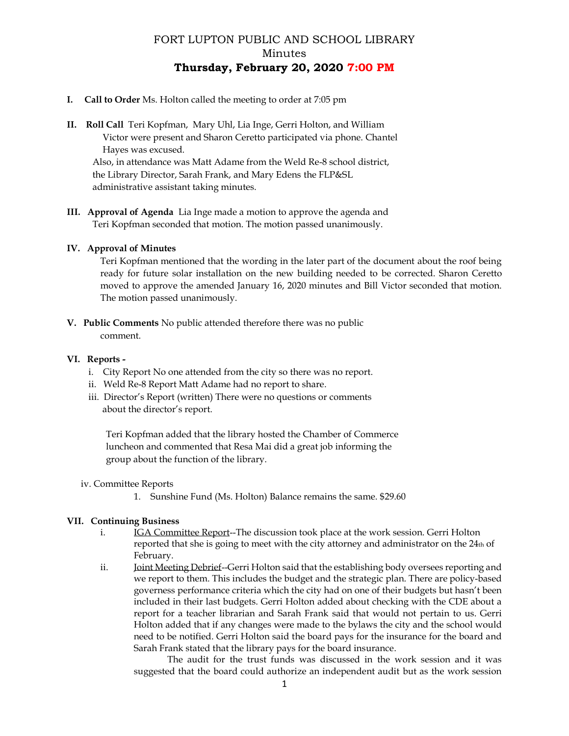# FORT LUPTON PUBLIC AND SCHOOL LIBRARY Minutes **Thursday, February 20, 2020 7:00 PM**

- **I. Call to Order** Ms. Holton called the meeting to order at 7:05 pm
- **II. Roll Call** Teri Kopfman, Mary Uhl, Lia Inge, Gerri Holton, and William Victor were present and Sharon Ceretto participated via phone. Chantel Hayes was excused. Also, in attendance was Matt Adame from the Weld Re-8 school district, the Library Director, Sarah Frank, and Mary Edens the FLP&SL administrative assistant taking minutes.
- **III. Approval of Agenda** Lia Inge made a motion to approve the agenda and Teri Kopfman seconded that motion. The motion passed unanimously.

# **IV. Approval of Minutes**

Teri Kopfman mentioned that the wording in the later part of the document about the roof being ready for future solar installation on the new building needed to be corrected. Sharon Ceretto moved to approve the amended January 16, 2020 minutes and Bill Victor seconded that motion. The motion passed unanimously.

**V. Public Comments** No public attended therefore there was no public comment.

## **VI. Reports -**

- i. City Report No one attended from the city so there was no report.
- ii. Weld Re-8 Report Matt Adame had no report to share.
- iii. Director's Report (written) There were no questions or comments about the director's report.

 Teri Kopfman added that the library hosted the Chamber of Commerce luncheon and commented that Resa Mai did a great job informing the group about the function of the library.

### iv. Committee Reports

1. Sunshine Fund (Ms. Holton) Balance remains the same. \$29.60

# **VII. Continuing Business**

- i. IGA Committee Report--The discussion took place at the work session. Gerri Holton reported that she is going to meet with the city attorney and administrator on the 24th of February.
- ii. Joint Meeting Debrief--Gerri Holton said that the establishing body oversees reporting and we report to them. This includes the budget and the strategic plan. There are policy-based governess performance criteria which the city had on one of their budgets but hasn't been included in their last budgets. Gerri Holton added about checking with the CDE about a report for a teacher librarian and Sarah Frank said that would not pertain to us. Gerri Holton added that if any changes were made to the bylaws the city and the school would need to be notified. Gerri Holton said the board pays for the insurance for the board and Sarah Frank stated that the library pays for the board insurance.

The audit for the trust funds was discussed in the work session and it was suggested that the board could authorize an independent audit but as the work session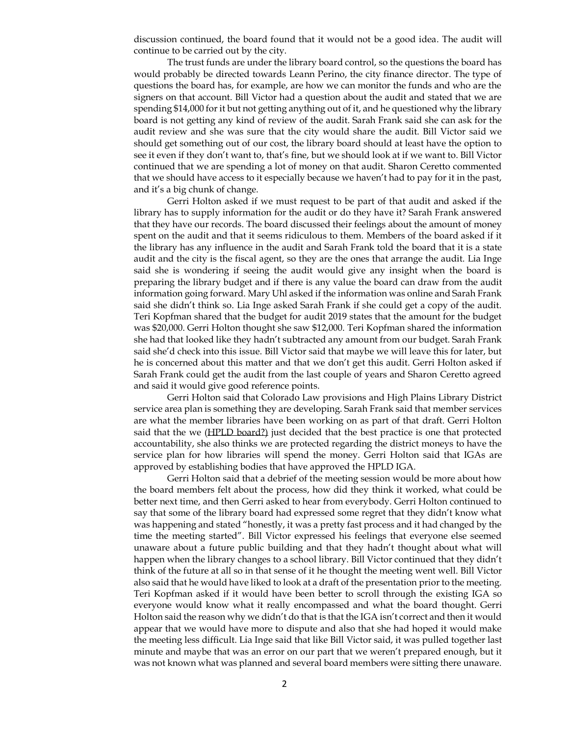discussion continued, the board found that it would not be a good idea. The audit will continue to be carried out by the city.

The trust funds are under the library board control, so the questions the board has would probably be directed towards Leann Perino, the city finance director. The type of questions the board has, for example, are how we can monitor the funds and who are the signers on that account. Bill Victor had a question about the audit and stated that we are spending \$14,000 for it but not getting anything out of it, and he questioned why the library board is not getting any kind of review of the audit. Sarah Frank said she can ask for the audit review and she was sure that the city would share the audit. Bill Victor said we should get something out of our cost, the library board should at least have the option to see it even if they don't want to, that's fine, but we should look at if we want to. Bill Victor continued that we are spending a lot of money on that audit. Sharon Ceretto commented that we should have access to it especially because we haven't had to pay for it in the past, and it's a big chunk of change.

Gerri Holton asked if we must request to be part of that audit and asked if the library has to supply information for the audit or do they have it? Sarah Frank answered that they have our records. The board discussed their feelings about the amount of money spent on the audit and that it seems ridiculous to them. Members of the board asked if it the library has any influence in the audit and Sarah Frank told the board that it is a state audit and the city is the fiscal agent, so they are the ones that arrange the audit. Lia Inge said she is wondering if seeing the audit would give any insight when the board is preparing the library budget and if there is any value the board can draw from the audit information going forward. Mary Uhl asked if the informationwas online and Sarah Frank said she didn't think so. Lia Inge asked Sarah Frank if she could get a copy of the audit. Teri Kopfman shared that the budget for audit 2019 states that the amount for the budget was \$20,000. Gerri Holton thought she saw \$12,000. Teri Kopfman shared the information she had that looked like they hadn't subtracted any amount from our budget. Sarah Frank said she'd check into this issue. Bill Victor said that maybe we will leave this for later, but he is concerned about this matter and that we don't get this audit. Gerri Holton asked if Sarah Frank could get the audit from the last couple of years and Sharon Ceretto agreed and said it would give good reference points.

Gerri Holton said that Colorado Law provisions and High Plains Library District service area plan is something they are developing. Sarah Frank said that member services are what the member libraries have been working on as part of that draft. Gerri Holton said that the we (HPLD board?) just decided that the best practice is one that protected accountability, she also thinks we are protected regarding the district moneys to have the service plan for how libraries will spend the money. Gerri Holton said that IGAs are approved by establishing bodies that have approved the HPLD IGA.

Gerri Holton said that a debrief of the meeting session would be more about how the board members felt about the process, how did they think it worked, what could be better next time, and then Gerri asked to hear from everybody. Gerri Holton continued to say that some of the library board had expressed some regret that they didn't know what was happening and stated "honestly, it was a pretty fast process and it had changed by the time the meeting started". Bill Victor expressed his feelings that everyone else seemed unaware about a future public building and that they hadn't thought about what will happen when the library changes to a school library. Bill Victor continued that they didn't think of the future at all so in that sense of it he thought the meeting went well. Bill Victor also said that he would have liked to look at a draft of the presentation prior to the meeting. Teri Kopfman asked if it would have been better to scroll through the existing IGA so everyone would know what it really encompassed and what the board thought. Gerri Holton said the reason why we didn't do that is that the IGA isn't correct and then it would appear that we would have more to dispute and also that she had hoped it would make the meeting less difficult. Lia Inge said that like Bill Victor said, it was pulled together last minute and maybe that was an error on our part that we weren't prepared enough, but it was not known what was planned and several board members were sitting there unaware.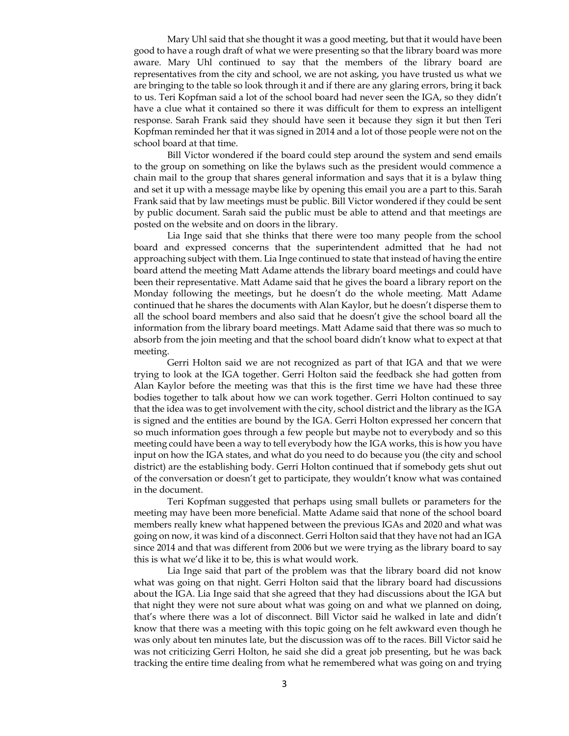Mary Uhl said that she thought it was a good meeting, but that it would have been good to have a rough draft of what we were presenting so that the library board was more aware. Mary Uhl continued to say that the members of the library board are representatives from the city and school, we are not asking, you have trusted us what we are bringing to the table so look through it and if there are any glaring errors, bring it back to us. Teri Kopfman said a lot of the school board had never seen the IGA, so they didn't have a clue what it contained so there it was difficult for them to express an intelligent response. Sarah Frank said they should have seen it because they sign it but then Teri Kopfman reminded her that it was signed in 2014 and a lot of those people were not on the school board at that time.

Bill Victor wondered if the board could step around the system and send emails to the group on something on like the bylaws such as the president would commence a chain mail to the group that shares general information and says that it is a bylaw thing and set it up with a message maybe like by opening this email you are a part to this. Sarah Frank said that by law meetings must be public. Bill Victor wondered if they could be sent by public document. Sarah said the public must be able to attend and that meetings are posted on the website and on doors in the library.

Lia Inge said that she thinks that there were too many people from the school board and expressed concerns that the superintendent admitted that he had not approaching subject with them. Lia Inge continued to state that instead of having the entire board attend the meeting Matt Adame attends the library board meetings and could have been their representative. Matt Adame said that he gives the board a library report on the Monday following the meetings, but he doesn't do the whole meeting. Matt Adame continued that he shares the documents with Alan Kaylor, but he doesn't disperse them to all the school board members and also said that he doesn't give the school board all the information from the library board meetings. Matt Adame said that there was so much to absorb from the join meeting and that the school board didn't know what to expect at that meeting.

Gerri Holton said we are not recognized as part of that IGA and that we were trying to look at the IGA together. Gerri Holton said the feedback she had gotten from Alan Kaylor before the meeting was that this is the first time we have had these three bodies together to talk about how we can work together. Gerri Holton continued to say that the idea was to get involvement with the city, school district and the library as the IGA is signed and the entities are bound by the IGA. Gerri Holton expressed her concern that so much information goes through a few people but maybe not to everybody and so this meeting could have been away to tell everybody how the IGA works, this is how you have input on how the IGA states, and what do you need to do because you (the city and school district) are the establishing body. Gerri Holton continued that if somebody gets shut out of the conversation or doesn't get to participate, they wouldn't know what was contained in the document.

Teri Kopfman suggested that perhaps using small bullets or parameters for the meeting may have been more beneficial. Matte Adame said that none of the school board members really knew what happened between the previous IGAs and 2020 and what was going on now, it was kind of a disconnect. Gerri Holton said that they have not had an IGA since 2014 and that was different from 2006 but we were trying as the library board to say this is what we'd like it to be, this is what would work.

Lia Inge said that part of the problem was that the library board did not know what was going on that night. Gerri Holton said that the library board had discussions about the IGA. Lia Inge said that she agreed that they had discussions about the IGA but that night they were not sure about what was going on and what we planned on doing, that's where there was a lot of disconnect. Bill Victor said he walked in late and didn't know that there was a meeting with this topic going on he felt awkward even though he was only about ten minutes late, but the discussion was off to the races. Bill Victor said he was not criticizing Gerri Holton, he said she did a great job presenting, but he was back tracking the entire time dealing from what he remembered what was going on and trying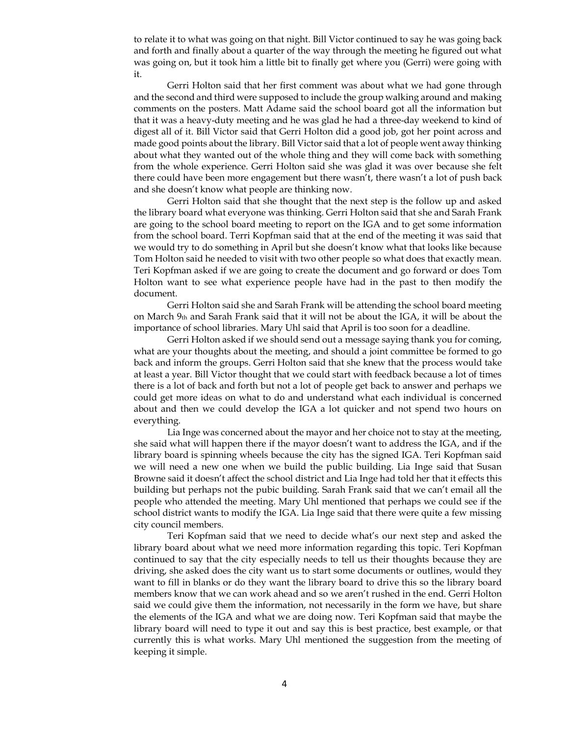to relate it to what was going on that night. Bill Victor continued to say he was going back and forth and finally about a quarter of the way through the meeting he figured out what was going on, but it took him a little bit to finally get where you (Gerri) were going with it.

Gerri Holton said that her first comment was about what we had gone through and the second and third were supposed to include the group walking around and making comments on the posters. Matt Adame said the school board got all the information but that it was a heavy-duty meeting and he was glad he had a three-day weekend to kind of digest all of it. Bill Victor said that Gerri Holton did a good job, got her point across and made good points about the library. Bill Victor said that a lot of people went away thinking about what they wanted out of the whole thing and they will come back with something from the whole experience. Gerri Holton said she was glad it was over because she felt there could have been more engagement but there wasn't, there wasn't a lot of push back and she doesn't know what people are thinking now.

Gerri Holton said that she thought that the next step is the follow up and asked the library board what everyone was thinking. Gerri Holton said that she and Sarah Frank are going to the school board meeting to report on the IGA and to get some information from the school board. Terri Kopfman said that at the end of the meeting it was said that we would try to do something in April but she doesn't know what that looks like because Tom Holton said he needed to visit with two other people so what does that exactly mean. Teri Kopfman asked if we are going to create the document and go forward or does Tom Holton want to see what experience people have had in the past to then modify the document.

Gerri Holton said she and Sarah Frank will be attending the school board meeting on March 9th and Sarah Frank said that it will not be about the IGA, it will be about the importance of school libraries. Mary Uhl said that April is too soon for a deadline.

Gerri Holton asked if we should send out a message saying thank you for coming, what are your thoughts about the meeting, and should a joint committee be formed to go back and inform the groups. Gerri Holton said that she knew that the process would take at least a year. Bill Victor thought that we could start with feedback because a lot of times there is a lot of back and forth but not a lot of people get back to answer and perhaps we could get more ideas on what to do and understand what each individual is concerned about and then we could develop the IGA a lot quicker and not spend two hours on everything.

Lia Inge was concerned about the mayor and her choice not to stay at the meeting, she said what will happen there if the mayor doesn't want to address the IGA, and if the library board is spinning wheels because the city has the signed IGA. Teri Kopfman said we will need a new one when we build the public building. Lia Inge said that Susan Browne said it doesn't affect the school district and Lia Inge had told her that it effects this building but perhaps not the pubic building. Sarah Frank said that we can't email all the people who attended the meeting. Mary Uhl mentioned that perhaps we could see if the school district wants to modify the IGA. Lia Inge said that there were quite a few missing city council members.

Teri Kopfman said that we need to decide what's our next step and asked the library board about what we need more information regarding this topic. Teri Kopfman continued to say that the city especially needs to tell us their thoughts because they are driving, she asked does the city want us to start some documents or outlines, would they want to fill in blanks or do they want the library board to drive this so the library board members know that we can work ahead and so we aren't rushed in the end. Gerri Holton said we could give them the information, not necessarily in the form we have, but share the elements of the IGA and what we are doing now. Teri Kopfman said that maybe the library board will need to type it out and say this is best practice, best example, or that currently this is what works. Mary Uhl mentioned the suggestion from the meeting of keeping it simple.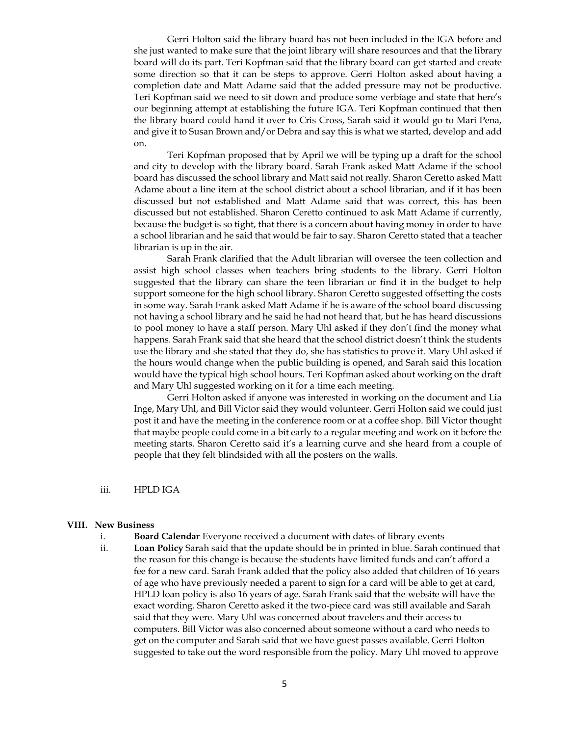Gerri Holton said the library board has not been included in the IGA before and she just wanted to make sure that the joint library will share resources and that the library board will do its part. Teri Kopfman said that the library board can get started and create some direction so that it can be steps to approve. Gerri Holton asked about having a completion date and Matt Adame said that the added pressure may not be productive. Teri Kopfman said we need to sit down and produce some verbiage and state that here's our beginning attempt at establishing the future IGA. Teri Kopfman continued that then the library board could hand it over to Cris Cross, Sarah said it would go to Mari Pena, and give it to Susan Brown and/or Debra and say this is what we started, develop and add on.

Teri Kopfman proposed that by April we will be typing up a draft for the school and city to develop with the library board. Sarah Frank asked Matt Adame if the school board has discussed the school library and Matt said not really. Sharon Ceretto asked Matt Adame about a line item at the school district about a school librarian, and if it has been discussed but not established and Matt Adame said that was correct, this has been discussed but not established. Sharon Ceretto continued to ask Matt Adame if currently, because the budget is so tight, that there is a concern about having money in order to have a school librarian and he said that would be fair to say. Sharon Ceretto stated that a teacher librarian is up in the air.

Sarah Frank clarified that the Adult librarian will oversee the teen collection and assist high school classes when teachers bring students to the library. Gerri Holton suggested that the library can share the teen librarian or find it in the budget to help support someone for the high school library. Sharon Ceretto suggested offsetting the costs in some way. Sarah Frank asked Matt Adame if he is aware of the school board discussing not having a school library and he said he had not heard that, but he has heard discussions to pool money to have a staff person. Mary Uhl asked if they don't find the money what happens. Sarah Frank said that she heard that the school district doesn't think the students use the library and she stated that they do, she has statistics to prove it. Mary Uhl asked if the hours would change when the public building is opened, and Sarah said this location would have the typical high school hours. Teri Kopfman asked about working on the draft and Mary Uhl suggested working on it for a time each meeting.

Gerri Holton asked if anyone was interested in working on the document and Lia Inge, Mary Uhl, and Bill Victor said they would volunteer. Gerri Holton said we could just post it and have the meeting in the conference room or at a coffee shop. Bill Victor thought that maybe people could come in a bit early to a regular meeting and work on it before the meeting starts. Sharon Ceretto said it's a learning curve and she heard from a couple of people that they felt blindsided with all the posters on the walls.

iii. HPLD IGA

#### **VIII. New Business**

- i. **Board Calendar** Everyone received a document with dates of library events
- ii. **Loan Policy** Sarah said that the update should be in printed in blue. Sarah continued that the reason for this change is because the students have limited funds and can't afford a fee for a new card. Sarah Frank added that the policy also added that children of 16 years of age who have previously needed a parent to sign for a card will be able to get at card, HPLD loan policy is also 16 years of age. Sarah Frank said that the website will have the exact wording. Sharon Ceretto asked it the two-piece card was still available and Sarah said that they were. Mary Uhl was concerned about travelers and their access to computers. Bill Victor was also concerned about someone without a card who needs to get on the computer and Sarah said that we have guest passes available. Gerri Holton suggested to take out the word responsible from the policy. Mary Uhl moved to approve